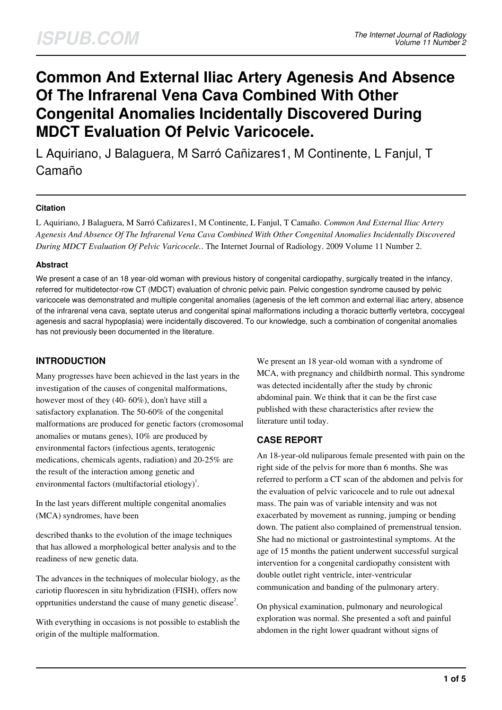# **Common And External Iliac Artery Agenesis And Absence Of The Infrarenal Vena Cava Combined With Other Congenital Anomalies Incidentally Discovered During MDCT Evaluation Of Pelvic Varicocele.**

L Aquiriano, J Balaguera, M Sarró Cañizares1, M Continente, L Fanjul, T Camaño

## **Citation**

L Aquiriano, J Balaguera, M Sarró Cañizares1, M Continente, L Fanjul, T Camaño. *Common And External Iliac Artery Agenesis And Absence Of The Infrarenal Vena Cava Combined With Other Congenital Anomalies Incidentally Discovered During MDCT Evaluation Of Pelvic Varicocele.*. The Internet Journal of Radiology. 2009 Volume 11 Number 2.

## **Abstract**

We present a case of an 18 year-old woman with previous history of congenital cardiopathy, surgically treated in the infancy, referred for multidetector-row CT (MDCT) evaluation of chronic pelvic pain. Pelvic congestion syndrome caused by pelvic varicocele was demonstrated and multiple congenital anomalies (agenesis of the left common and external iliac artery, absence of the infrarenal vena cava, septate uterus and congenital spinal malformations including a thoracic butterfly vertebra, coccygeal agenesis and sacral hypoplasia) were incidentally discovered. To our knowledge, such a combination of congenital anomalies has not previously been documented in the literature.

# **INTRODUCTION**

Many progresses have been achieved in the last years in the investigation of the causes of congenital malformations, however most of they (40- 60%), don't have still a satisfactory explanation. The 50-60% of the congenital malformations are produced for genetic factors (cromosomal anomalies or mutans genes), 10% are produced by environmental factors (infectious agents, teratogenic medications, chemicals agents, radiation) and 20-25% are the result of the interaction among genetic and environmental factors (multifactorial etiology)<sup>1</sup>.

In the last years different multiple congenital anomalies (MCA) syndromes, have been

described thanks to the evolution of the image techniques that has allowed a morphological better analysis and to the readiness of new genetic data.

The advances in the techniques of molecular biology, as the cariotip fluorescen in situ hybridization (FISH), offers now opprtunities understand the cause of many genetic disease<sup>2</sup>.

With everything in occasions is not possible to establish the origin of the multiple malformation.

We present an 18 year-old woman with a syndrome of MCA, with pregnancy and childbirth normal. This syndrome was detected incidentally after the study by chronic abdominal pain. We think that it can be the first case published with these characteristics after review the literature until today.

## **CASE REPORT**

An 18-year-old nuliparous female presented with pain on the right side of the pelvis for more than 6 months. She was referred to perform a CT scan of the abdomen and pelvis for the evaluation of pelvic varicocele and to rule out adnexal mass. The pain was of variable intensity and was not exacerbated by movement as running, jumping or bending down. The patient also complained of premenstrual tension. She had no mictional or gastrointestinal symptoms. At the age of 15 months the patient underwent successful surgical intervention for a congenital cardiopathy consistent with double outlet right ventricle, inter-ventricular communication and banding of the pulmonary artery.

On physical examination, pulmonary and neurological exploration was normal. She presented a soft and painful abdomen in the right lower quadrant without signs of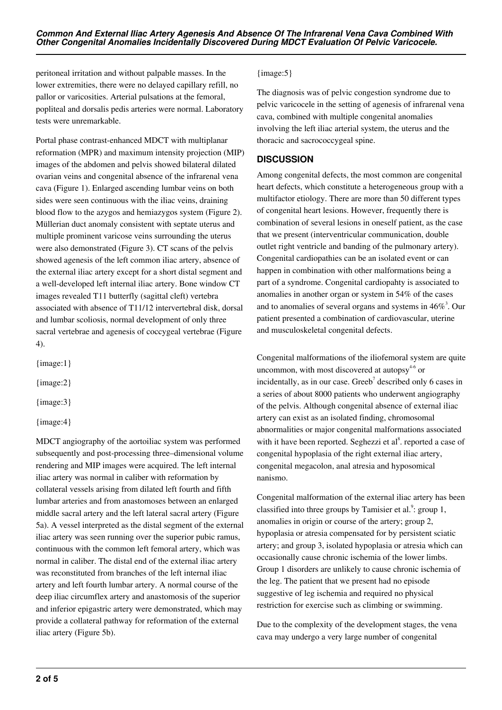peritoneal irritation and without palpable masses. In the lower extremities, there were no delayed capillary refill, no pallor or varicosities. Arterial pulsations at the femoral, popliteal and dorsalis pedis arteries were normal. Laboratory tests were unremarkable.

Portal phase contrast-enhanced MDCT with multiplanar reformation (MPR) and maximum intensity projection (MIP) images of the abdomen and pelvis showed bilateral dilated ovarian veins and congenital absence of the infrarenal vena cava (Figure 1). Enlarged ascending lumbar veins on both sides were seen continuous with the iliac veins, draining blood flow to the azygos and hemiazygos system (Figure 2). Müllerian duct anomaly consistent with septate uterus and multiple prominent varicose veins surrounding the uterus were also demonstrated (Figure 3). CT scans of the pelvis showed agenesis of the left common iliac artery, absence of the external iliac artery except for a short distal segment and a well-developed left internal iliac artery. Bone window CT images revealed T11 butterfly (sagittal cleft) vertebra associated with absence of T11/12 intervertebral disk, dorsal and lumbar scoliosis, normal development of only three sacral vertebrae and agenesis of coccygeal vertebrae (Figure 4).

{image:1}

{image:2}

{image:3}

{image:4}

MDCT angiography of the aortoiliac system was performed subsequently and post-processing three–dimensional volume rendering and MIP images were acquired. The left internal iliac artery was normal in caliber with reformation by collateral vessels arising from dilated left fourth and fifth lumbar arteries and from anastomoses between an enlarged middle sacral artery and the left lateral sacral artery (Figure 5a). A vessel interpreted as the distal segment of the external iliac artery was seen running over the superior pubic ramus, continuous with the common left femoral artery, which was normal in caliber. The distal end of the external iliac artery was reconstituted from branches of the left internal iliac artery and left fourth lumbar artery. A normal course of the deep iliac circumflex artery and anastomosis of the superior and inferior epigastric artery were demonstrated, which may provide a collateral pathway for reformation of the external iliac artery (Figure 5b).

## {image:5}

The diagnosis was of pelvic congestion syndrome due to pelvic varicocele in the setting of agenesis of infrarenal vena cava, combined with multiple congenital anomalies involving the left iliac arterial system, the uterus and the thoracic and sacrococcygeal spine.

# **DISCUSSION**

Among congenital defects, the most common are congenital heart defects, which constitute a heterogeneous group with a multifactor etiology. There are more than 50 different types of congenital heart lesions. However, frequently there is combination of several lesions in oneself patient, as the case that we present (interventricular communication, double outlet right ventricle and banding of the pulmonary artery). Congenital cardiopathies can be an isolated event or can happen in combination with other malformations being a part of a syndrome. Congenital cardiopahty is associated to anomalies in another organ or system in 54% of the cases and to anomalies of several organs and systems in  $46\%$ <sup>3</sup>. Our patient presented a combination of cardiovascular, uterine and musculoskeletal congenital defects.

Congenital malformations of the iliofemoral system are quite uncommon, with most discovered at autopsy $4-6$  or incidentally, as in our case. Greeb<sup>7</sup> described only 6 cases in a series of about 8000 patients who underwent angiography of the pelvis. Although congenital absence of external iliac artery can exist as an isolated finding, chromosomal abnormalities or major congenital malformations associated with it have been reported. Seghezzi et al<sup>8</sup>. reported a case of congenital hypoplasia of the right external iliac artery, congenital megacolon, anal atresia and hyposomical nanismo.

Congenital malformation of the external iliac artery has been classified into three groups by Tamisier et al.<sup>9</sup>: group 1, anomalies in origin or course of the artery; group 2, hypoplasia or atresia compensated for by persistent sciatic artery; and group 3, isolated hypoplasia or atresia which can occasionally cause chronic ischemia of the lower limbs. Group 1 disorders are unlikely to cause chronic ischemia of the leg. The patient that we present had no episode suggestive of leg ischemia and required no physical restriction for exercise such as climbing or swimming.

Due to the complexity of the development stages, the vena cava may undergo a very large number of congenital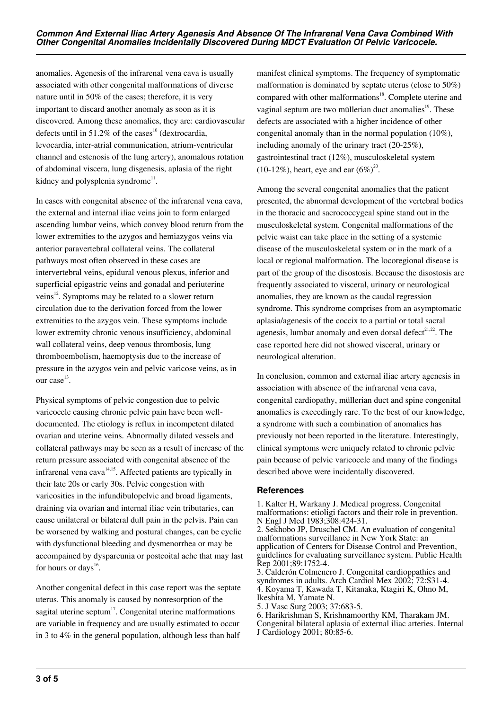anomalies. Agenesis of the infrarenal vena cava is usually associated with other congenital malformations of diverse nature until in 50% of the cases; therefore, it is very important to discard another anomaly as soon as it is discovered. Among these anomalies, they are: cardiovascular defects until in 51.2% of the cases<sup>10</sup> (dextrocardia, levocardia, inter-atrial communication, atrium-ventricular channel and estenosis of the lung artery), anomalous rotation of abdominal viscera, lung disgenesis, aplasia of the right kidney and polysplenia syndrome $^{11}$ .

In cases with congenital absence of the infrarenal vena cava, the external and internal iliac veins join to form enlarged ascending lumbar veins, which convey blood return from the lower extremities to the azygos and hemiazygos veins via anterior paravertebral collateral veins. The collateral pathways most often observed in these cases are intervertebral veins, epidural venous plexus, inferior and superficial epigastric veins and gonadal and periuterine veins<sup>12</sup>. Symptoms may be related to a slower return circulation due to the derivation forced from the lower extremities to the azygos vein. These symptoms include lower extremity chronic venous insufficiency, abdominal wall collateral veins, deep venous thrombosis, lung thromboembolism, haemoptysis due to the increase of pressure in the azygos vein and pelvic varicose veins, as in our case<sup>13</sup>.

Physical symptoms of pelvic congestion due to pelvic varicocele causing chronic pelvic pain have been welldocumented. The etiology is reflux in incompetent dilated ovarian and uterine veins. Abnormally dilated vessels and collateral pathways may be seen as a result of increase of the return pressure associated with congenital absence of the infrarenal vena  $cava^{14,15}$ . Affected patients are typically in their late 20s or early 30s. Pelvic congestion with varicosities in the infundibulopelvic and broad ligaments, draining via ovarian and internal iliac vein tributaries, can cause unilateral or bilateral dull pain in the pelvis. Pain can be worsened by walking and postural changes, can be cyclic with dysfunctional bleeding and dysmenorrhea or may be accompained by dyspareunia or postcoital ache that may last for hours or days<sup>16</sup>.

Another congenital defect in this case report was the septate uterus. This anomaly is caused by nonresorption of the sagital uterine septum $17$ . Congenital uterine malformations are variable in frequency and are usually estimated to occur in 3 to 4% in the general population, although less than half

manifest clinical symptoms. The frequency of symptomatic malformation is dominated by septate uterus (close to 50%) compared with other malformations<sup>18</sup>. Complete uterine and vaginal septum are two müllerian duct anomalies $19$ . These defects are associated with a higher incidence of other congenital anomaly than in the normal population (10%), including anomaly of the urinary tract (20-25%), gastrointestinal tract (12%), musculoskeletal system (10-12%), heart, eye and ear  $(6\%)^{20}$ .

Among the several congenital anomalies that the patient presented, the abnormal development of the vertebral bodies in the thoracic and sacrococcygeal spine stand out in the musculoskeletal system. Congenital malformations of the pelvic waist can take place in the setting of a systemic disease of the musculoskeletal system or in the mark of a local or regional malformation. The locoregional disease is part of the group of the disostosis. Because the disostosis are frequently associated to visceral, urinary or neurological anomalies, they are known as the caudal regression syndrome. This syndrome comprises from an asymptomatic aplasia/agenesis of the coccix to a partial or total sacral agenesis, lumbar anomaly and even dorsal defect $21,22$ . The case reported here did not showed visceral, urinary or neurological alteration.

In conclusion, common and external iliac artery agenesis in association with absence of the infrarenal vena cava, congenital cardiopathy, müllerian duct and spine congenital anomalies is exceedingly rare. To the best of our knowledge, a syndrome with such a combination of anomalies has previously not been reported in the literature. Interestingly, clinical symptoms were uniquely related to chronic pelvic pain because of pelvic varicocele and many of the findings described above were incidentally discovered.

## **References**

1. Kalter H, Warkany J. Medical progress. Congenital malformations: etioligi factors and their role in prevention. N Engl J Med 1983;308:424-31. 2. Sekhobo JP, Druschel CM. An evaluation of congenital malformations surveillance in New York State: an application of Centers for Disease Control and Prevention, guidelines for evaluating surveillance system. Public Health Rep 2001;89:1752-4.

3. Calderón Colmenero J. Congenital cardioppathies and syndromes in adults. Arch Cardiol Mex 2002; 72:S31-4. 4. Koyama T, Kawada T, Kitanaka, Ktagiri K, Ohno M, Ikeshita M, Yamate N.

5. J Vasc Surg 2003; 37:683-5.

6. Harikrishman S, Krishnamoorthy KM, Tharakam JM. Congenital bilateral aplasia of external iliac arteries. Internal J Cardiology 2001; 80:85-6.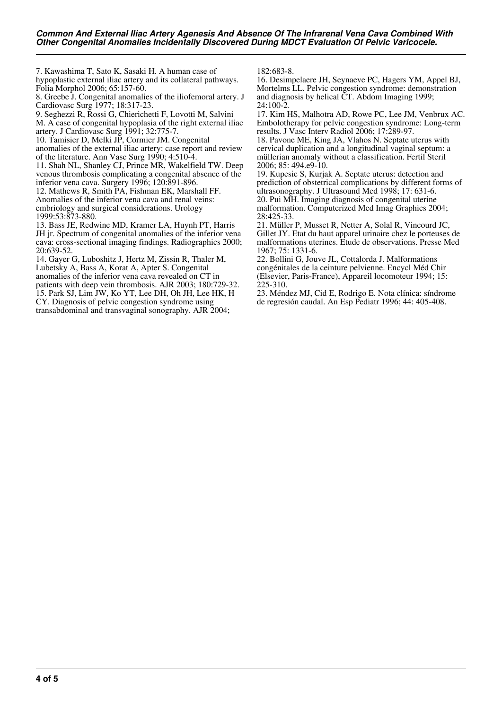7. Kawashima T, Sato K, Sasaki H. A human case of hypoplastic external iliac artery and its collateral pathways. Folia Morphol 2006; 65:157-60.

8. Greebe J. Congenital anomalies of the iliofemoral artery. J Cardiovasc Surg 1977; 18:317-23.

9. Seghezzi R, Rossi G, Chierichetti F, Lovotti M, Salvini

M. A case of congenital hypoplasia of the right external iliac artery. J Cardiovasc Surg 1991; 32:775-7.

10. Tamisier D, Melki JP, Cormier JM. Congenital

anomalies of the external iliac artery: case report and review of the literature. Ann Vasc Surg 1990; 4:510-4.

11. Shah NL, Shanley CJ, Prince MR, Wakelfield TW. Deep venous thrombosis complicating a congenital absence of the inferior vena cava. Surgery 1996; 120:891-896.

12. Mathews R, Smith PA, Fishman EK, Marshall FF. Anomalies of the inferior vena cava and renal veins: embriology and surgical considerations. Urology 1999:53:873-880.

13. Bass JE, Redwine MD, Kramer LA, Huynh PT, Harris JH jr. Spectrum of congenital anomalies of the inferior vena cava: cross-sectional imaging findings. Radiographics 2000; 20:639-52.

14. Gayer G, Luboshitz J, Hertz M, Zissin R, Thaler M, Lubetsky A, Bass A, Korat A, Apter S. Congenital anomalies of the inferior vena cava revealed on CT in patients with deep vein thrombosis. AJR 2003; 180:729-32. 15. Park SJ, Lim JW, Ko YT, Lee DH, Oh JH, Lee HK, H CY. Diagnosis of pelvic congestion syndrome using transabdominal and transvaginal sonography. AJR 2004;

 $182.683 - 8$ 

16. Desimpelaere JH, Seynaeve PC, Hagers YM, Appel BJ, Mortelms LL. Pelvic congestion syndrome: demonstration and diagnosis by helical CT. Abdom Imaging 1999; 24:100-2.

17. Kim HS, Malhotra AD, Rowe PC, Lee JM, Venbrux AC. Embolotherapy for pelvic congestion syndrome: Long-term results. J Vasc Interv Radiol 2006; 17:289-97.

18. Pavone ME, King JA, Vlahos N. Septate uterus with cervical duplication and a longitudinal vaginal septum: a müllerian anomaly without a classification. Fertil Steril 2006; 85: 494.e9-10.

19. Kupesic S, Kurjak A. Septate uterus: detection and prediction of obstetrical complications by different forms of ultrasonography. J Ultrasound Med 1998; 17: 631-6. 20. Pui MH. Imaging diagnosis of congenital uterine malformation. Computerized Med Imag Graphics 2004; 28:425-33.

21. Müller P, Musset R, Netter A, Solal R, Vincourd JC, Gillet JY. Etat du haut apparel urinaire chez le porteuses de malformations uterines. Etude de observations. Presse Med 1967; 75: 1331-6.

22. Bollini G, Jouve JL, Cottalorda J. Malformations congénitales de la ceinture pelvienne. Encycl Méd Chir (Elsevier, Paris-France), Appareil locomoteur 1994; 15: 225-310.

23. Méndez MJ, Cid E, Rodrigo E. Nota clínica: síndrome de regresión caudal. An Esp Pediatr 1996; 44: 405-408.